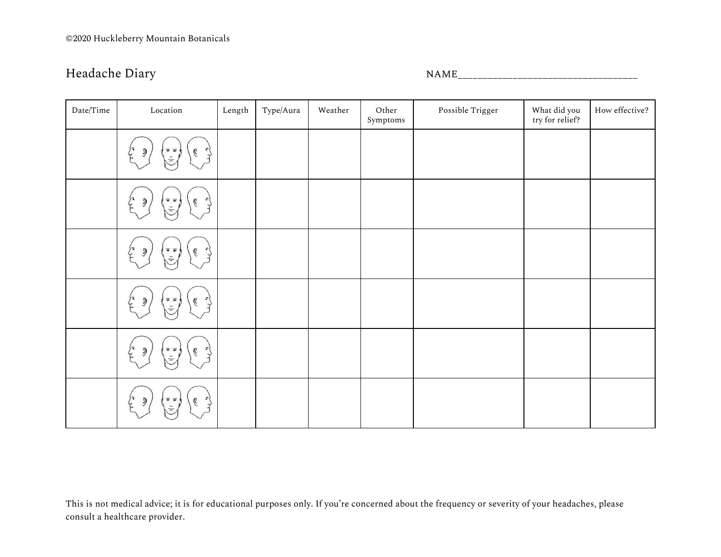Headache Diary and the settlement of the NAME\_\_\_\_\_\_\_\_\_\_\_\_\_\_\_\_\_\_\_\_\_\_\_\_\_\_\_\_\_\_\_\_\_\_\_

| Date/Time | Location                                                                                                                                                                              | Length | Type/Aura | Weather | Other<br>$\ensuremath{\mathsf{Symptoms}}$ | Possible Trigger | What did you<br>try for relief? | How effective? |
|-----------|---------------------------------------------------------------------------------------------------------------------------------------------------------------------------------------|--------|-----------|---------|-------------------------------------------|------------------|---------------------------------|----------------|
|           | ダ<br>第三<br>$\mathcal{C}$<br>$\mathfrak{I}$<br>Ξ                                                                                                                                       |        |           |         |                                           |                  |                                 |                |
|           | ダ<br>$\mathcal{C}$<br>$\mathcal{F}$<br>$\mathfrak{I}% _{T}=\mathfrak{I}_{T}\!\left( a,b\right) ,\ \mathfrak{I}_{T}=C_{T}\!\left( a,b\right) ,$<br>第三<br>$\frac{1}{n}$                 |        |           |         |                                           |                  |                                 |                |
|           | 下<br>$\mathfrak{H}$<br>국 군<br>$\mathcal{C}$                                                                                                                                           |        |           |         |                                           |                  |                                 |                |
|           | ٦.<br>$\overrightarrow{\bullet}$<br>$\mathcal{C}$<br>$\mathfrak{H}$<br>Ļ,<br>$\equiv$                                                                                                 |        |           |         |                                           |                  |                                 |                |
|           | 下<br>$\mathcal{C}$<br>$\overline{r}$<br>$\equiv$ $\equiv$<br>$\mathfrak{I}% _{T}=\mathfrak{I}_{T}\!\left( a,b\right) ,\ \mathfrak{I}_{T}=C_{T}\!\left( a,b\right) ,$<br>$\frac{1}{n}$ |        |           |         |                                           |                  |                                 |                |
|           | ダ<br>$\mathcal{G}$<br>$\tilde{f}$<br>$\mathfrak{D}$<br>$\overline{=}$                                                                                                                 |        |           |         |                                           |                  |                                 |                |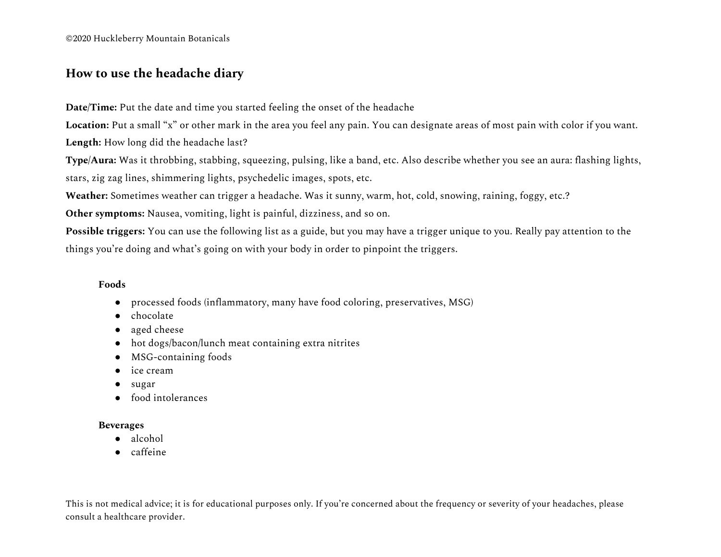©2020 Huckleberry Mountain Botanicals

# **How to use the headache diary**

**Date/Time:** Put the date and time you started feeling the onset of the headache

**Location:** Put a small "x" or other mark in the area you feel any pain. You can designate areas of most pain with color if you want.

**Length:** How long did the headache last?

**Type/Aura:** Was it throbbing, stabbing, squeezing, pulsing, like a band, etc. Also describe whether you see an aura: flashing lights, stars, zig zag lines, shimmering lights, psychedelic images, spots, etc.

**Weather:** Sometimes weather can trigger a headache. Was it sunny, warm, hot, cold, snowing, raining, foggy, etc.?

**Other symptoms:** Nausea, vomiting, light is painful, dizziness, and so on.

**Possible triggers:** You can use the following list as a guide, but you may have a trigger unique to you. Really pay attention to the things you're doing and what's going on with your body in order to pinpoint the triggers.

## **Foods**

- processed foods (inflammatory, many have food coloring, preservatives, MSG)
- chocolate
- aged cheese
- hot dogs/bacon/lunch meat containing extra nitrites
- MSG-containing foods
- ice cream
- sugar
- food intolerances

## **Beverages**

- alcohol
- caffeine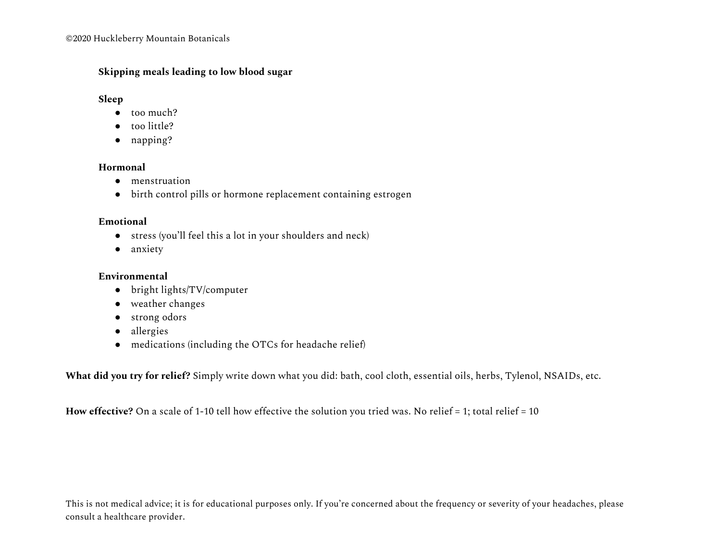# **Skipping meals leading to low blood sugar**

# **Sleep**

- too much?
- too little?
- napping?

# **Hormonal**

- menstruation
- birth control pills or hormone replacement containing estrogen

# **Emotional**

- stress (you'll feel this a lot in your shoulders and neck)
- anxiety

# **Environmental**

- bright lights/TV/computer
- weather changes
- strong odors
- allergies
- medications (including the OTCs for headache relief)

**What did you try for relief?** Simply write down what you did: bath, cool cloth, essential oils, herbs, Tylenol, NSAIDs, etc.

**How effective?** On a scale of 1-10 tell how effective the solution you tried was. No relief = 1; total relief = 10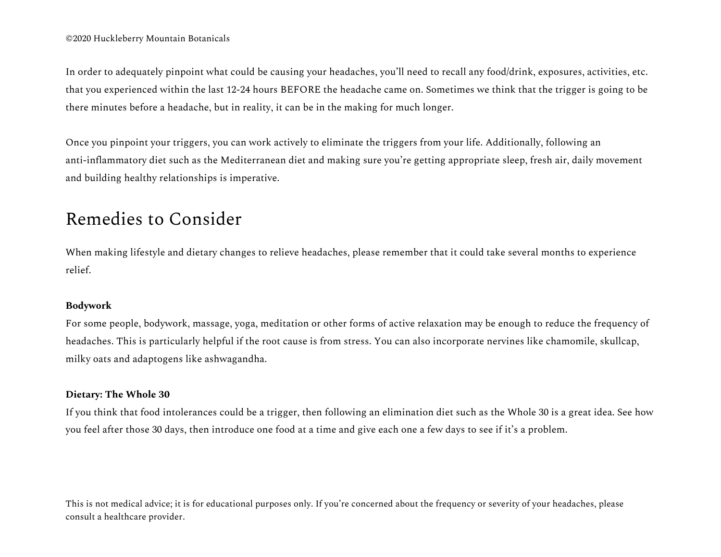In order to adequately pinpoint what could be causing your headaches, you'll need to recall any food/drink, exposures, activities, etc. that you experienced within the last 12-24 hours BEFORE the headache came on. Sometimes we think that the trigger is going to be there minutes before a headache, but in reality, it can be in the making for much longer.

Once you pinpoint your triggers, you can work actively to eliminate the triggers from your life. Additionally, following an anti-inflammatory diet such as the Mediterranean diet and making sure you're getting appropriate sleep, fresh air, daily movement and building healthy relationships is imperative.

# Remedies to Consider

When making lifestyle and dietary changes to relieve headaches, please remember that it could take several months to experience relief.

# **Bodywork**

For some people, bodywork, massage, yoga, meditation or other forms of active relaxation may be enough to reduce the frequency of headaches. This is particularly helpful if the root cause is from stress. You can also incorporate nervines like chamomile, skullcap, milky oats and adaptogens like ashwagandha.

# **Dietary: The Whole 30**

If you think that food intolerances could be a trigger, then following an elimination diet such as the Whole 30 is a great idea. See how you feel after those 30 days, then introduce one food at a time and give each one a few days to see if it's a problem.